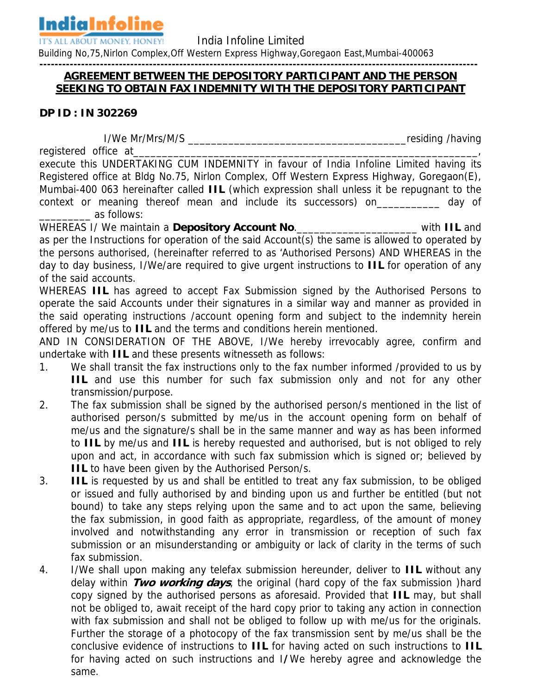**IndiaInfoline** 

**IT'S ALL ABOUT MONEY. HONEY! India Infoline Limited** 

Building No,75,Nirlon Complex,Off Western Express Highway,Goregaon East,Mumbai-400063

## **-------------------------------------------------------------------------------------------------------------------- AGREEMENT BETWEEN THE DEPOSITORY PARTICIPANT AND THE PERSON SEEKING TO OBTAIN FAX INDEMNITY WITH THE DEPOSITORY PARTICIPANT**

## **DP ID : IN 302269**

I/We Mr/Mrs/M/S \_\_\_\_\_\_\_\_\_\_\_\_\_\_\_\_\_\_\_\_\_\_\_\_\_\_\_\_\_\_\_\_\_\_\_\_\_\_residing /having

registered office at

execute this UNDERTAKING CUM INDEMNITY in favour of India Infoline Limited having its Registered office at Bldg No.75, Nirlon Complex, Off Western Express Highway, Goregaon(E), Mumbai-400 063 hereinafter called **IIL** (which expression shall unless it be repugnant to the context or meaning thereof mean and include its successors) on\_\_\_\_\_\_\_\_\_\_\_ day of \_\_\_\_\_\_\_\_\_ as follows:

WHEREAS I/ We maintain a **Depository Account No**.\_\_\_\_\_\_\_\_\_\_\_\_\_\_\_\_\_\_\_\_\_ with **IIL** and as per the Instructions for operation of the said Account(s) the same is allowed to operated by the persons authorised, (hereinafter referred to as 'Authorised Persons) AND WHEREAS in the day to day business, I/We/are required to give urgent instructions to **IIL** for operation of any of the said accounts.

WHEREAS **IIL** has agreed to accept Fax Submission signed by the Authorised Persons to operate the said Accounts under their signatures in a similar way and manner as provided in the said operating instructions /account opening form and subject to the indemnity herein offered by me/us to **IIL** and the terms and conditions herein mentioned.

AND IN CONSIDERATION OF THE ABOVE, I/We hereby irrevocably agree, confirm and undertake with **IIL** and these presents witnesseth as follows:

- 1. We shall transit the fax instructions only to the fax number informed /provided to us by **IIL** and use this number for such fax submission only and not for any other transmission/purpose.
- 2. The fax submission shall be signed by the authorised person/s mentioned in the list of authorised person/s submitted by me/us in the account opening form on behalf of me/us and the signature/s shall be in the same manner and way as has been informed to **IIL** by me/us and **IIL** is hereby requested and authorised, but is not obliged to rely upon and act, in accordance with such fax submission which is signed or; believed by **IIL** to have been given by the Authorised Person/s.
- 3. **IIL** is requested by us and shall be entitled to treat any fax submission, to be obliged or issued and fully authorised by and binding upon us and further be entitled (but not bound) to take any steps relying upon the same and to act upon the same, believing the fax submission, in good faith as appropriate, regardless, of the amount of money involved and notwithstanding any error in transmission or reception of such fax submission or an misunderstanding or ambiguity or lack of clarity in the terms of such fax submission.
- 4. I/We shall upon making any telefax submission hereunder, deliver to **IIL** without any delay within **Two working days**, the original (hard copy of the fax submission )hard copy signed by the authorised persons as aforesaid. Provided that **IIL** may, but shall not be obliged to, await receipt of the hard copy prior to taking any action in connection with fax submission and shall not be obliged to follow up with me/us for the originals. Further the storage of a photocopy of the fax transmission sent by me/us shall be the conclusive evidence of instructions to **IIL** for having acted on such instructions to **IIL** for having acted on such instructions and I**/**We hereby agree and acknowledge the same.